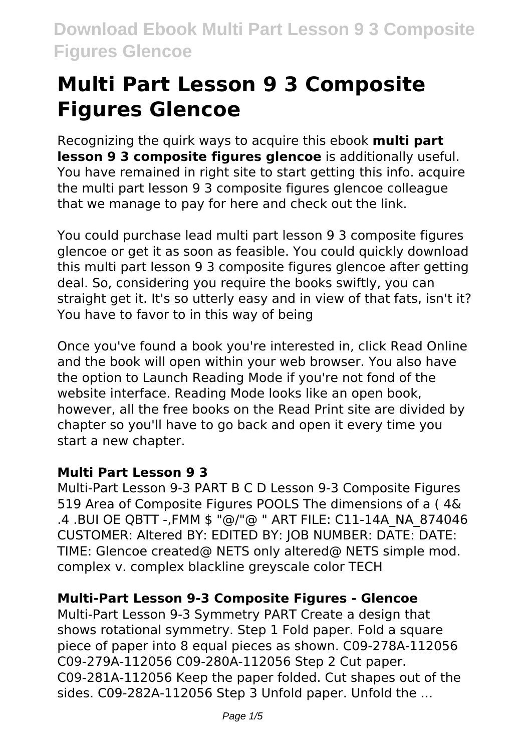# **Multi Part Lesson 9 3 Composite Figures Glencoe**

Recognizing the quirk ways to acquire this ebook **multi part lesson 9 3 composite figures glencoe** is additionally useful. You have remained in right site to start getting this info. acquire the multi part lesson 9 3 composite figures glencoe colleague that we manage to pay for here and check out the link.

You could purchase lead multi part lesson 9 3 composite figures glencoe or get it as soon as feasible. You could quickly download this multi part lesson 9 3 composite figures glencoe after getting deal. So, considering you require the books swiftly, you can straight get it. It's so utterly easy and in view of that fats, isn't it? You have to favor to in this way of being

Once you've found a book you're interested in, click Read Online and the book will open within your web browser. You also have the option to Launch Reading Mode if you're not fond of the website interface. Reading Mode looks like an open book, however, all the free books on the Read Print site are divided by chapter so you'll have to go back and open it every time you start a new chapter.

# **Multi Part Lesson 9 3**

Multi-Part Lesson 9-3 PART B C D Lesson 9-3 Composite Figures 519 Area of Composite Figures POOLS The dimensions of a ( 4& .4 .BUI OE QBTT -,FMM \$ "@/"@ " ART FILE: C11-14A\_NA\_874046 CUSTOMER: Altered BY: EDITED BY: JOB NUMBER: DATE: DATE: TIME: Glencoe created@ NETS only altered@ NETS simple mod. complex v. complex blackline greyscale color TECH

# **Multi-Part Lesson 9-3 Composite Figures - Glencoe**

Multi-Part Lesson 9-3 Symmetry PART Create a design that shows rotational symmetry. Step 1 Fold paper. Fold a square piece of paper into 8 equal pieces as shown. C09-278A-112056 C09-279A-112056 C09-280A-112056 Step 2 Cut paper. C09-281A-112056 Keep the paper folded. Cut shapes out of the sides. C09-282A-112056 Step 3 Unfold paper. Unfold the ...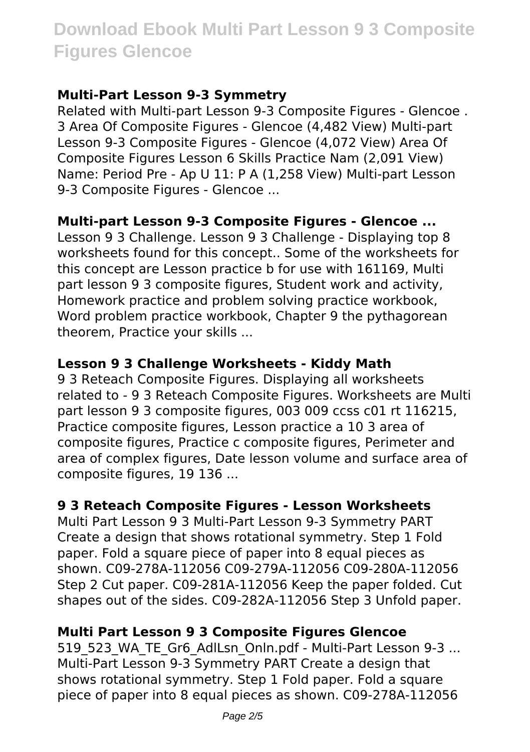## **Multi-Part Lesson 9-3 Symmetry**

Related with Multi-part Lesson 9-3 Composite Figures - Glencoe . 3 Area Of Composite Figures - Glencoe (4,482 View) Multi-part Lesson 9-3 Composite Figures - Glencoe (4,072 View) Area Of Composite Figures Lesson 6 Skills Practice Nam (2,091 View) Name: Period Pre - Ap U 11: P A (1,258 View) Multi-part Lesson 9-3 Composite Figures - Glencoe ...

#### **Multi-part Lesson 9-3 Composite Figures - Glencoe ...**

Lesson 9 3 Challenge. Lesson 9 3 Challenge - Displaying top 8 worksheets found for this concept.. Some of the worksheets for this concept are Lesson practice b for use with 161169, Multi part lesson 9 3 composite figures, Student work and activity, Homework practice and problem solving practice workbook, Word problem practice workbook, Chapter 9 the pythagorean theorem, Practice your skills ...

## **Lesson 9 3 Challenge Worksheets - Kiddy Math**

9 3 Reteach Composite Figures. Displaying all worksheets related to - 9 3 Reteach Composite Figures. Worksheets are Multi part lesson 9 3 composite figures, 003 009 ccss c01 rt 116215, Practice composite figures, Lesson practice a 10 3 area of composite figures, Practice c composite figures, Perimeter and area of complex figures, Date lesson volume and surface area of composite figures, 19 136 ...

#### **9 3 Reteach Composite Figures - Lesson Worksheets**

Multi Part Lesson 9 3 Multi-Part Lesson 9-3 Symmetry PART Create a design that shows rotational symmetry. Step 1 Fold paper. Fold a square piece of paper into 8 equal pieces as shown. C09-278A-112056 C09-279A-112056 C09-280A-112056 Step 2 Cut paper. C09-281A-112056 Keep the paper folded. Cut shapes out of the sides. C09-282A-112056 Step 3 Unfold paper.

# **Multi Part Lesson 9 3 Composite Figures Glencoe**

519 523 WA TE Gr6 AdlLsn Onln.pdf - Multi-Part Lesson 9-3 ... Multi-Part Lesson 9-3 Symmetry PART Create a design that shows rotational symmetry. Step 1 Fold paper. Fold a square piece of paper into 8 equal pieces as shown. C09-278A-112056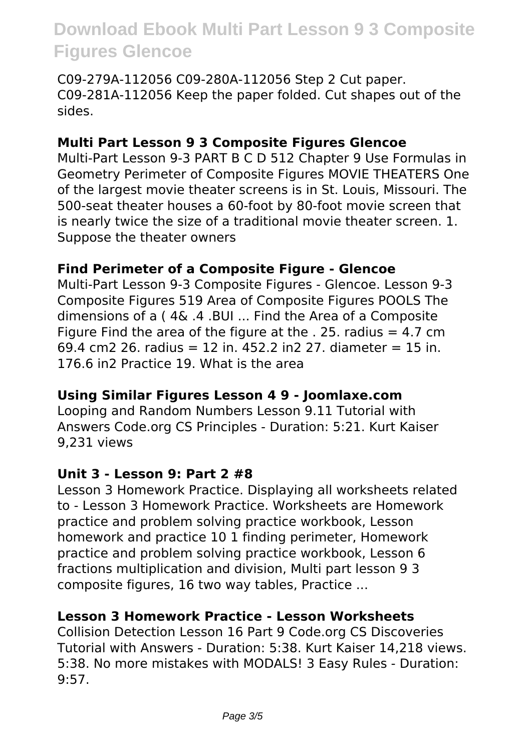C09-279A-112056 C09-280A-112056 Step 2 Cut paper. C09-281A-112056 Keep the paper folded. Cut shapes out of the sides.

## **Multi Part Lesson 9 3 Composite Figures Glencoe**

Multi-Part Lesson 9-3 PART B C D 512 Chapter 9 Use Formulas in Geometry Perimeter of Composite Figures MOVIE THEATERS One of the largest movie theater screens is in St. Louis, Missouri. The 500-seat theater houses a 60-foot by 80-foot movie screen that is nearly twice the size of a traditional movie theater screen. 1. Suppose the theater owners

#### **Find Perimeter of a Composite Figure - Glencoe**

Multi-Part Lesson 9-3 Composite Figures - Glencoe. Lesson 9-3 Composite Figures 519 Area of Composite Figures POOLS The dimensions of a ( 4& .4 .BUI ... Find the Area of a Composite Figure Find the area of the figure at the  $.25$ . radius = 4.7 cm 69.4 cm2 26. radius = 12 in. 452.2 in2 27. diameter = 15 in. 176.6 in2 Practice 19. What is the area

#### **Using Similar Figures Lesson 4 9 - Joomlaxe.com**

Looping and Random Numbers Lesson 9.11 Tutorial with Answers Code.org CS Principles - Duration: 5:21. Kurt Kaiser 9,231 views

#### **Unit 3 - Lesson 9: Part 2 #8**

Lesson 3 Homework Practice. Displaying all worksheets related to - Lesson 3 Homework Practice. Worksheets are Homework practice and problem solving practice workbook, Lesson homework and practice 10 1 finding perimeter, Homework practice and problem solving practice workbook, Lesson 6 fractions multiplication and division, Multi part lesson 9 3 composite figures, 16 two way tables, Practice ...

#### **Lesson 3 Homework Practice - Lesson Worksheets**

Collision Detection Lesson 16 Part 9 Code.org CS Discoveries Tutorial with Answers - Duration: 5:38. Kurt Kaiser 14,218 views. 5:38. No more mistakes with MODALS! 3 Easy Rules - Duration: 9:57.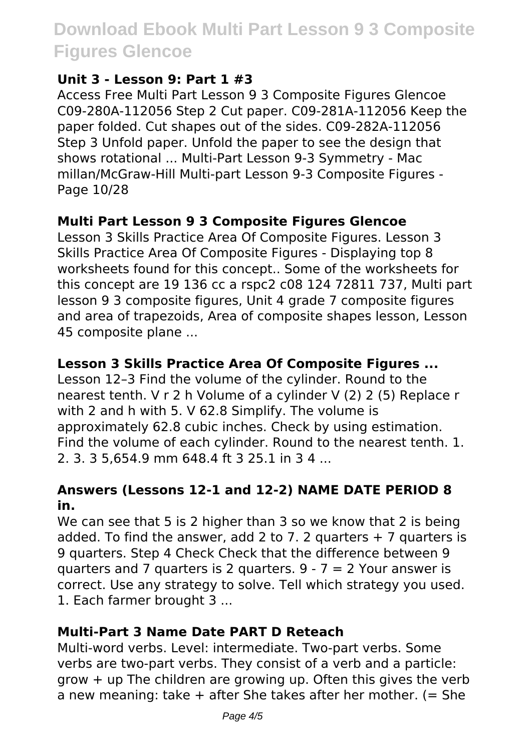#### **Unit 3 - Lesson 9: Part 1 #3**

Access Free Multi Part Lesson 9 3 Composite Figures Glencoe C09-280A-112056 Step 2 Cut paper. C09-281A-112056 Keep the paper folded. Cut shapes out of the sides. C09-282A-112056 Step 3 Unfold paper. Unfold the paper to see the design that shows rotational ... Multi-Part Lesson 9-3 Symmetry - Mac millan/McGraw-Hill Multi-part Lesson 9-3 Composite Figures - Page 10/28

#### **Multi Part Lesson 9 3 Composite Figures Glencoe**

Lesson 3 Skills Practice Area Of Composite Figures. Lesson 3 Skills Practice Area Of Composite Figures - Displaying top 8 worksheets found for this concept.. Some of the worksheets for this concept are 19 136 cc a rspc2 c08 124 72811 737, Multi part lesson 9 3 composite figures, Unit 4 grade 7 composite figures and area of trapezoids, Area of composite shapes lesson, Lesson 45 composite plane ...

## **Lesson 3 Skills Practice Area Of Composite Figures ...**

Lesson 12–3 Find the volume of the cylinder. Round to the nearest tenth. V r 2 h Volume of a cylinder V (2) 2 (5) Replace r with 2 and h with 5. V 62.8 Simplify. The volume is approximately 62.8 cubic inches. Check by using estimation. Find the volume of each cylinder. Round to the nearest tenth. 1. 2. 3. 3 5,654.9 mm 648.4 ft 3 25.1 in 3 4 ...

#### **Answers (Lessons 12-1 and 12-2) NAME DATE PERIOD 8 in.**

We can see that 5 is 2 higher than 3 so we know that 2 is being added. To find the answer, add 2 to 7. 2 quarters  $+ 7$  quarters is 9 quarters. Step 4 Check Check that the difference between 9 quarters and 7 quarters is 2 quarters.  $9 - 7 = 2$  Your answer is correct. Use any strategy to solve. Tell which strategy you used. 1. Each farmer brought 3 ...

#### **Multi-Part 3 Name Date PART D Reteach**

Multi-word verbs. Level: intermediate. Two-part verbs. Some verbs are two-part verbs. They consist of a verb and a particle: grow + up The children are growing up. Often this gives the verb a new meaning: take  $+$  after She takes after her mother. (= She